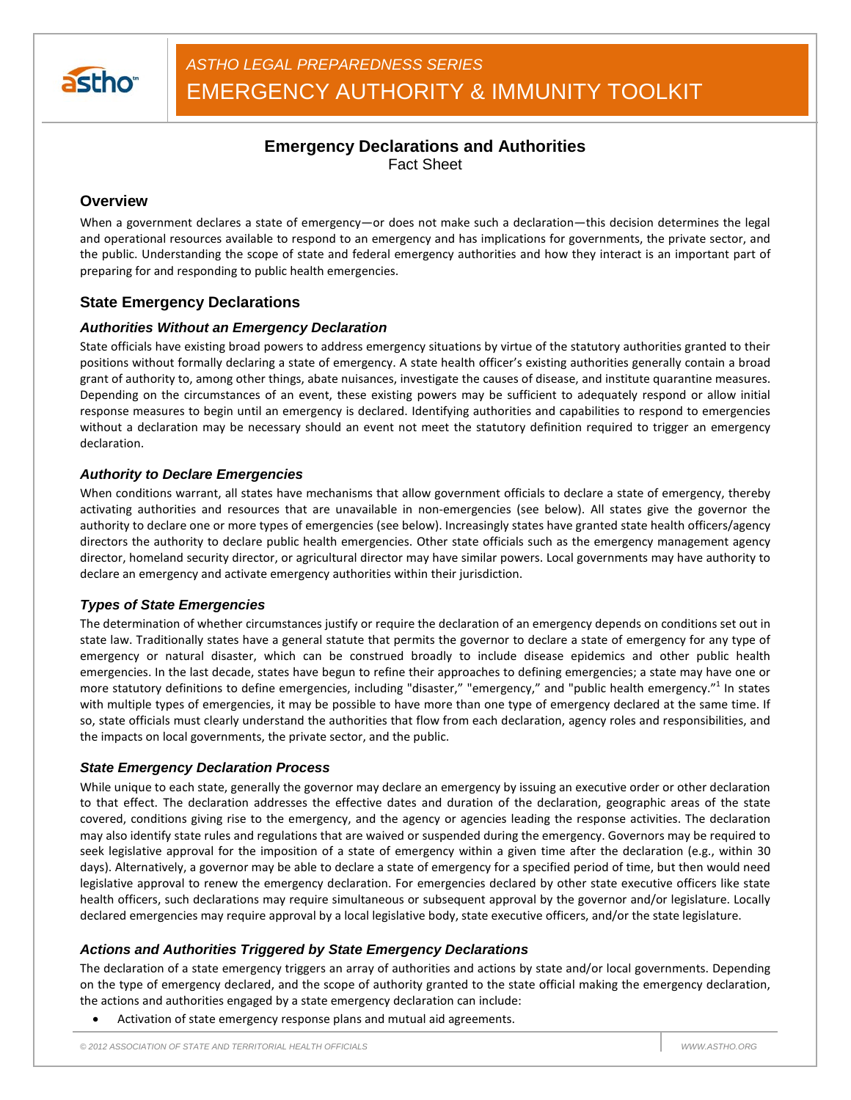

## **Emergency Declarations and Authorities** Fact Sheet

## **Overview**

When a government declares a state of emergency—or does not make such a declaration—this decision determines the legal and operational resources available to respond to an emergency and has implications for governments, the private sector, and the public. Understanding the scope of state and federal emergency authorities and how they interact is an important part of preparing for and responding to public health emergencies.

## **State Emergency Declarations**

### *Authorities Without an Emergency Declaration*

State officials have existing broad powers to address emergency situations by virtue of the statutory authorities granted to their positions without formally declaring a state of emergency. A state health officer's existing authorities generally contain a broad grant of authority to, among other things, abate nuisances, investigate the causes of disease, and institute quarantine measures. Depending on the circumstances of an event, these existing powers may be sufficient to adequately respond or allow initial response measures to begin until an emergency is declared. Identifying authorities and capabilities to respond to emergencies without a declaration may be necessary should an event not meet the statutory definition required to trigger an emergency declaration.

### *Authority to Declare Emergencies*

When conditions warrant, all states have mechanisms that allow government officials to declare a state of emergency, thereby activating authorities and resources that are unavailable in non-emergencies (see below). All states give the governor the authority to declare one or more types of emergencies (see below). Increasingly states have granted state health officers/agency directors the authority to declare public health emergencies. Other state officials such as the emergency management agency director, homeland security director, or agricultural director may have similar powers. Local governments may have authority to declare an emergency and activate emergency authorities within their jurisdiction.

### *Types of State Emergencies*

The determination of whether circumstances justify or require the declaration of an emergency depends on conditions set out in state law. Traditionally states have a general statute that permits the governor to declare a state of emergency for any type of emergency or natural disaster, which can be construed broadly to include disease epidemics and other public health emergencies. In the last decade, states have begun to refine their approaches to defining emergencies; a state may have one or more statutory definitions to define emergencies, including "disaster," "emergency," and "public health emergency."<sup>1</sup> In states with multiple types of emergencies, it may be possible to have more than one type of emergency declared at the same time. If so, state officials must clearly understand the authorities that flow from each declaration, agency roles and responsibilities, and the impacts on local governments, the private sector, and the public.

### *State Emergency Declaration Process*

While unique to each state, generally the governor may declare an emergency by issuing an executive order or other declaration to that effect. The declaration addresses the effective dates and duration of the declaration, geographic areas of the state covered, conditions giving rise to the emergency, and the agency or agencies leading the response activities. The declaration may also identify state rules and regulations that are waived or suspended during the emergency. Governors may be required to seek legislative approval for the imposition of a state of emergency within a given time after the declaration (e.g., within 30 days). Alternatively, a governor may be able to declare a state of emergency for a specified period of time, but then would need legislative approval to renew the emergency declaration. For emergencies declared by other state executive officers like state health officers, such declarations may require simultaneous or subsequent approval by the governor and/or legislature. Locally declared emergencies may require approval by a local legislative body, state executive officers, and/or the state legislature.

### *Actions and Authorities Triggered by State Emergency Declarations*

The declaration of a state emergency triggers an array of authorities and actions by state and/or local governments. Depending on the type of emergency declared, and the scope of authority granted to the state official making the emergency declaration, the actions and authorities engaged by a state emergency declaration can include:

• Activation of state emergency response plans and mutual aid agreements.